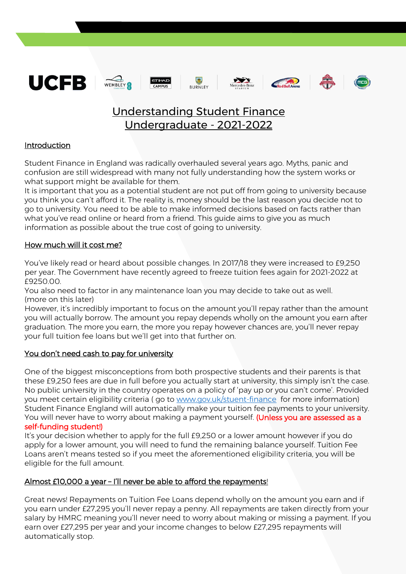











# Understanding Student Finance Undergraduate - 2021-2022

# Introduction

Student Finance in England was radically overhauled several years ago. Myths, panic and confusion are still widespread with many not fully understanding how the system works or what support might be available for them.

It is important that you as a potential student are not put off from going to university because you think you can't afford it. The reality is, money should be the last reason you decide not to go to university. You need to be able to make informed decisions based on facts rather than what you've read online or heard from a friend. This guide aims to give you as much information as possible about the true cost of going to university.

## How much will it cost me?

You've likely read or heard about possible changes. In 2017/18 they were increased to £9,250 per year. The Government have recently agreed to freeze tuition fees again for 2021-2022 at £9250.00.

You also need to factor in any maintenance loan you may decide to take out as well. (more on this later)

However, it's incredibly important to focus on the amount you'll repay rather than the amount you will actually borrow. The amount you repay depends wholly on the amount you earn after graduation. The more you earn, the more you repay however chances are, you'll never repay your full tuition fee loans but we'll get into that further on.

## You don't need cash to pay for university

One of the biggest misconceptions from both prospective students and their parents is that these £9,250 fees are due in full before you actually start at university, this simply isn't the case. No public university in the country operates on a policy of 'pay up or you can't come'. Provided you meet certain eligibility criteria ( go to [www.gov.uk/stuent-finance](http://www.gov.uk/stuent-finance) for more information) Student Finance England will automatically make your tuition fee payments to your university. You will never have to worry about making a payment yourself. (Unless you are assessed as a

#### self-funding student!)

It's your decision whether to apply for the full £9,250 or a lower amount however if you do apply for a lower amount, you will need to fund the remaining balance yourself. Tuition Fee Loans aren't means tested so if you meet the aforementioned eligibility criteria, you will be eligible for the full amount.

## Almost £10,000 a year - I'll never be able to afford the repayments!

Great news! Repayments on Tuition Fee Loans depend wholly on the amount you earn and if you earn under £27,295 you'll never repay a penny. All repayments are taken directly from your salary by HMRC meaning you'll never need to worry about making or missing a payment. If you earn over £27,295 per year and your income changes to below £27,295 repayments will automatically stop.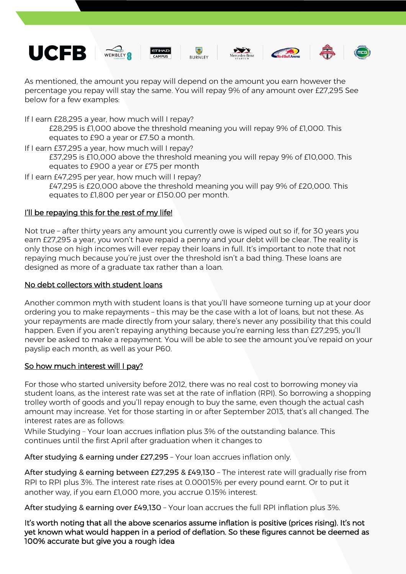













As mentioned, the amount you repay will depend on the amount you earn however the percentage you repay will stay the same. You will repay 9% of any amount over £27,295 See below for a few examples:

If I earn £28,295 a year, how much will I repay?

£28,295 is £1,000 above the threshold meaning you will repay 9% of £1,000. This equates to £90 a year or £7.50 a month.

If I earn £37,295 a year, how much will I repay?

£37,295 is £10,000 above the threshold meaning you will repay 9% of £10,000. This equates to £900 a year or £75 per month

If I earn £47,295 per year, how much will I repay?

£47,295 is £20,000 above the threshold meaning you will pay 9% of £20,000. This equates to £1,800 per year or £150.00 per month.

# I'll be repaying this for the rest of my life!

Not true – after thirty years any amount you currently owe is wiped out so if, for 30 years you earn £27,295 a year, you won't have repaid a penny and your debt will be clear. The reality is only those on high incomes will ever repay their loans in full. It's important to note that not repaying much because you're just over the threshold isn't a bad thing. These loans are designed as more of a graduate tax rather than a loan.

### No debt collectors with student loans

Another common myth with student loans is that you'll have someone turning up at your door ordering you to make repayments – this may be the case with a lot of loans, but not these. As your repayments are made directly from your salary, there's never any possibility that this could happen. Even if you aren't repaying anything because you're earning less than £27,295, you'll never be asked to make a repayment. You will be able to see the amount you've repaid on your payslip each month, as well as your P60.

## So how much interest will I pay?

For those who started university before 2012, there was no real cost to borrowing money via student loans, as the interest rate was set at the rate of inflation (RPI). So borrowing a shopping trolley worth of goods and you'll repay enough to buy the same, even though the actual cash amount may increase. Yet for those starting in or after September 2013, that's all changed. The interest rates are as follows:

While Studying – Your loan accrues inflation plus 3% of the outstanding balance. This continues until the first April after graduation when it changes to

After studying & earning under £27,295 – Your loan accrues inflation only.

After studying & earning between £27,295 & £49,130 – The interest rate will gradually rise from RPI to RPI plus 3%. The interest rate rises at 0.00015% per every pound earnt. Or to put it another way, if you earn £1,000 more, you accrue 0.15% interest.

After studying & earning over £49,130 – Your loan accrues the full RPI inflation plus 3%.

It's worth noting that all the above scenarios assume inflation is positive (prices rising). It's not yet known what would happen in a period of deflation. So these figures cannot be deemed as 100% accurate but give you a rough idea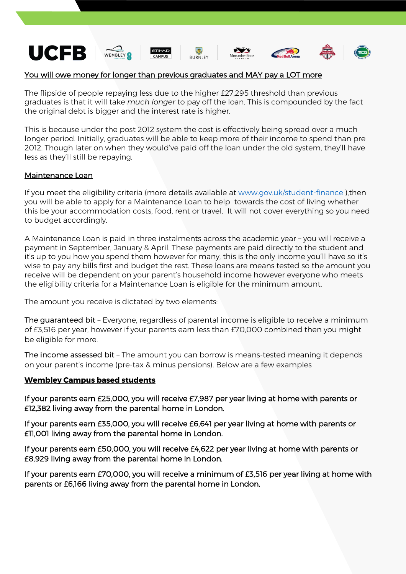

#### You will owe money for longer than previous graduates and MAY pay a LOT more

The flipside of people repaying less due to the higher £27,295 threshold than previous graduates is that it will take *much longer* to pay off the loan. This is compounded by the fact the original debt is bigger and the interest rate is higher.

This is because under the post 2012 system the cost is effectively being spread over a much longer period. Initially, graduates will be able to keep more of their income to spend than pre 2012. Though later on when they would've paid off the loan under the old system, they'll have less as they'll still be repaying.

#### Maintenance Loan

If you meet the eligibility criteria (more details available at [www.gov.uk/student-finance](http://www.gov.uk/student-finance) ),then you will be able to apply for a Maintenance Loan to help towards the cost of living whether this be your accommodation costs, food, rent or travel. It will not cover everything so you need to budget accordingly.

A Maintenance Loan is paid in three instalments across the academic year – you will receive a payment in September, January & April. These payments are paid directly to the student and it's up to you how you spend them however for many, this is the only income you'll have so it's wise to pay any bills first and budget the rest. These loans are means tested so the amount you receive will be dependent on your parent's household income however everyone who meets the eligibility criteria for a Maintenance Loan is eligible for the minimum amount.

The amount you receive is dictated by two elements:

The guaranteed bit – Everyone, regardless of parental income is eligible to receive a minimum of £3,516 per year, however if your parents earn less than £70,000 combined then you might be eligible for more.

The income assessed bit – The amount you can borrow is means-tested meaning it depends on your parent's income (pre-tax & minus pensions). Below are a few examples

#### **Wembley Campus based students**

If your parents earn £25,000, you will receive £7,987 per year living at home with parents or £12,382 living away from the parental home in London.

If your parents earn £35,000, you will receive £6,641 per year living at home with parents or £11,001 living away from the parental home in London.

If your parents earn £50,000, you will receive £4,622 per year living at home with parents or £8,929 living away from the parental home in London.

If your parents earn £70,000, you will receive a minimum of £3,516 per year living at home with parents or £6,166 living away from the parental home in London.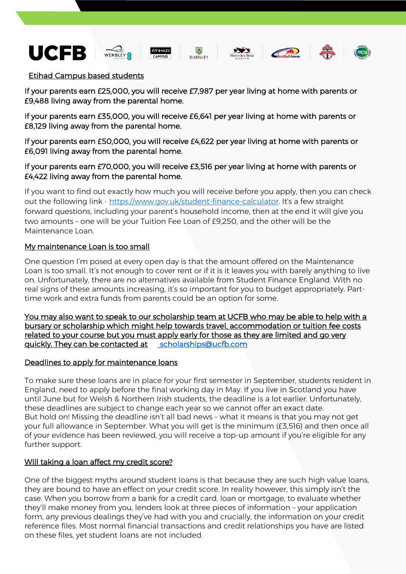











#### Etihad Campus based students

If your parents earn £25,000, you will receive £7,987 per year living at home with parents or £9,488 living away from the parental home.

If your parents earn £35,000, you will receive £6,641 per year living at home with parents or £8,129 living away from the parental home.

If your parents earn £50,000, you will receive £4,622 per year living at home with parents or £6,091 living away from the parental home.

#### If your parents earn £70,000, you will receive £3,516 per year living at home with parents or £4,422 living away from the parental home.

If you want to find out exactly how much you will receive before you apply, then you can check out the following link - <https://www.gov.uk/student-finance-calculator>. It's a few straight forward questions, including your parent's household income, then at the end it will give you two amounts – one will be your Tuition Fee Loan of £9,250, and the other will be the Maintenance Loan.

#### My maintenance Loan is too small

One question I'm posed at every open day is that the amount offered on the Maintenance Loan is too small. It's not enough to cover rent or if it is it leaves you with barely anything to live on. Unfortunately, there are no alternatives available from Student Finance England. With no real signs of these amounts increasing, it's so important for you to budget appropriately. Parttime work and extra funds from parents could be an option for some.

You may also want to speak to our scholarship team at UCFB who may be able to help with a bursary or scholarship which might help towards travel, accommodation or tuition fee costs related to your course but you must apply early for those as they are limited and go very quickly. They can be contacted at [scholarships@ucfb.com](mailto:scholarships@ucfb.com) 

#### Deadlines to apply for maintenance loans

To make sure these loans are in place for your first semester in September, students resident in England, need to apply before the final working day in May. If you live in Scotland you have until June but for Welsh & Northern Irish students, the deadline is a lot earlier. Unfortunately, these deadlines are subject to change each year so we cannot offer an exact date. But hold on! Missing the deadline isn't all bad news – what it means is that you may not get your full allowance in September. What you will get is the minimum (£3,516) and then once all of your evidence has been reviewed, you will receive a top-up amount if you're eligible for any further support.

## Will taking a loan affect my credit score?

One of the biggest myths around student loans is that because they are such high value loans, they are bound to have an effect on your credit score. In reality however, this simply isn't the case. When you borrow from a bank for a credit card, loan or mortgage, to evaluate whether they'll make money from you, lenders look at three pieces of information – your application form, any previous dealings they've had with you and crucially, the information on your credit reference files. Most normal financial transactions and credit relationships you have are listed on these files, yet student loans are not included.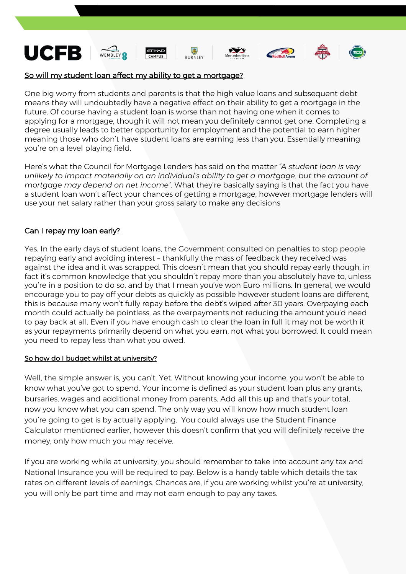

#### So will my student loan affect my ability to get a mortgage?

One big worry from students and parents is that the high value loans and subsequent debt means they will undoubtedly have a negative effect on their ability to get a mortgage in the future. Of course having a student loan is worse than not having one when it comes to applying for a mortgage, though it will not mean you definitely cannot get one. Completing a degree usually leads to better opportunity for employment and the potential to earn higher meaning those who don't have student loans are earning less than you. Essentially meaning you're on a level playing field.

Here's what the Council for Mortgage Lenders has said on the matter *"A student loan is very unlikely to impact materially on an individual's ability to get a mortgage, but the amount of mortgage may depend on net income".* What they're basically saying is that the fact you have a student loan won't affect your chances of getting a mortgage, however mortgage lenders will use your net salary rather than your gross salary to make any decisions

#### Can I repay my loan early?

Yes. In the early days of student loans, the Government consulted on penalties to stop people repaying early and avoiding interest – thankfully the mass of feedback they received was against the idea and it was scrapped. This doesn't mean that you should repay early though, in fact it's common knowledge that you shouldn't repay more than you absolutely have to, unless you're in a position to do so, and by that I mean you've won Euro millions. In general, we would encourage you to pay off your debts as quickly as possible however student loans are different, this is because many won't fully repay before the debt's wiped after 30 years. Overpaying each month could actually be pointless, as the overpayments not reducing the amount you'd need to pay back at all. Even if you have enough cash to clear the loan in full it may not be worth it as your repayments primarily depend on what you earn, not what you borrowed. It could mean you need to repay less than what you owed.

#### So how do I budget whilst at university?

Well, the simple answer is, you can't. Yet. Without knowing your income, you won't be able to know what you've got to spend. Your income is defined as your student loan plus any grants, bursaries, wages and additional money from parents. Add all this up and that's your total, now you know what you can spend. The only way you will know how much student loan you're going to get is by actually applying. You could always use the Student Finance Calculator mentioned earlier, however this doesn't confirm that you will definitely receive the money, only how much you may receive.

If you are working while at university, you should remember to take into account any tax and National Insurance you will be required to pay. Below is a handy table which details the tax rates on different levels of earnings. Chances are, if you are working whilst you're at university, you will only be part time and may not earn enough to pay any taxes.